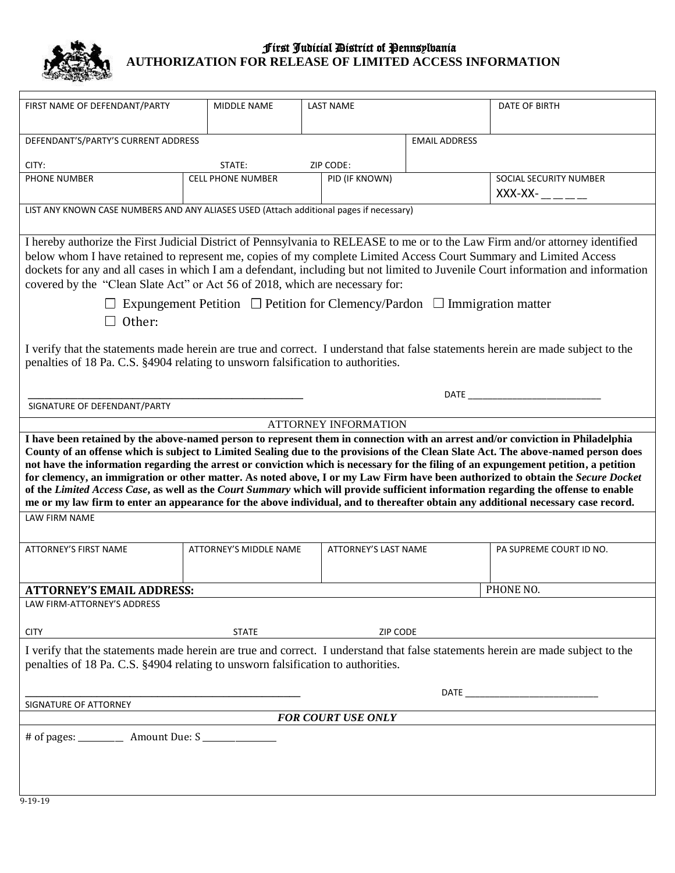

## First Judicial District of Pennsylvania **AUTHORIZATION FOR RELEASE OF LIMITED ACCESS INFORMATION**

| FIRST NAME OF DEFENDANT/PARTY                                                                                                                                                                                                                                                                                                                                                                                                                                                                                                                                                                                                                                                                                                                                                                                               | MIDDLE NAME              | <b>LAST NAME</b>     |                      | DATE OF BIRTH                            |
|-----------------------------------------------------------------------------------------------------------------------------------------------------------------------------------------------------------------------------------------------------------------------------------------------------------------------------------------------------------------------------------------------------------------------------------------------------------------------------------------------------------------------------------------------------------------------------------------------------------------------------------------------------------------------------------------------------------------------------------------------------------------------------------------------------------------------------|--------------------------|----------------------|----------------------|------------------------------------------|
| DEFENDANT'S/PARTY'S CURRENT ADDRESS                                                                                                                                                                                                                                                                                                                                                                                                                                                                                                                                                                                                                                                                                                                                                                                         |                          |                      | <b>EMAIL ADDRESS</b> |                                          |
| CITY:                                                                                                                                                                                                                                                                                                                                                                                                                                                                                                                                                                                                                                                                                                                                                                                                                       | STATE:<br>ZIP CODE:      |                      |                      |                                          |
| PHONE NUMBER                                                                                                                                                                                                                                                                                                                                                                                                                                                                                                                                                                                                                                                                                                                                                                                                                | <b>CELL PHONE NUMBER</b> | PID (IF KNOWN)       |                      | SOCIAL SECURITY NUMBER<br>$XXX-XX-$ ____ |
| LIST ANY KNOWN CASE NUMBERS AND ANY ALIASES USED (Attach additional pages if necessary)                                                                                                                                                                                                                                                                                                                                                                                                                                                                                                                                                                                                                                                                                                                                     |                          |                      |                      |                                          |
| I hereby authorize the First Judicial District of Pennsylvania to RELEASE to me or to the Law Firm and/or attorney identified<br>below whom I have retained to represent me, copies of my complete Limited Access Court Summary and Limited Access<br>dockets for any and all cases in which I am a defendant, including but not limited to Juvenile Court information and information<br>covered by the "Clean Slate Act" or Act 56 of 2018, which are necessary for:                                                                                                                                                                                                                                                                                                                                                      |                          |                      |                      |                                          |
| $\Box$ Expungement Petition $\Box$ Petition for Clemency/Pardon $\Box$ Immigration matter                                                                                                                                                                                                                                                                                                                                                                                                                                                                                                                                                                                                                                                                                                                                   |                          |                      |                      |                                          |
| Other:                                                                                                                                                                                                                                                                                                                                                                                                                                                                                                                                                                                                                                                                                                                                                                                                                      |                          |                      |                      |                                          |
| I verify that the statements made herein are true and correct. I understand that false statements herein are made subject to the<br>penalties of 18 Pa. C.S. §4904 relating to unsworn falsification to authorities.                                                                                                                                                                                                                                                                                                                                                                                                                                                                                                                                                                                                        |                          |                      |                      |                                          |
| <b>DATE <i>DATE</i></b><br>SIGNATURE OF DEFENDANT/PARTY                                                                                                                                                                                                                                                                                                                                                                                                                                                                                                                                                                                                                                                                                                                                                                     |                          |                      |                      |                                          |
| <b>ATTORNEY INFORMATION</b>                                                                                                                                                                                                                                                                                                                                                                                                                                                                                                                                                                                                                                                                                                                                                                                                 |                          |                      |                      |                                          |
| I have been retained by the above-named person to represent them in connection with an arrest and/or conviction in Philadelphia<br>County of an offense which is subject to Limited Sealing due to the provisions of the Clean Slate Act. The above-named person does<br>not have the information regarding the arrest or conviction which is necessary for the filing of an expungement petition, a petition<br>for clemency, an immigration or other matter. As noted above, I or my Law Firm have been authorized to obtain the Secure Docket<br>of the Limited Access Case, as well as the Court Summary which will provide sufficient information regarding the offense to enable<br>me or my law firm to enter an appearance for the above individual, and to thereafter obtain any additional necessary case record. |                          |                      |                      |                                          |
| LAW FIRM NAME                                                                                                                                                                                                                                                                                                                                                                                                                                                                                                                                                                                                                                                                                                                                                                                                               |                          |                      |                      |                                          |
| ATTORNEY'S FIRST NAME                                                                                                                                                                                                                                                                                                                                                                                                                                                                                                                                                                                                                                                                                                                                                                                                       | ATTORNEY'S MIDDLE NAME   | ATTORNEY'S LAST NAME |                      | PA SUPREME COURT ID NO.                  |
| <b>ATTORNEY'S EMAIL ADDRESS:</b>                                                                                                                                                                                                                                                                                                                                                                                                                                                                                                                                                                                                                                                                                                                                                                                            |                          |                      |                      | PHONE NO.                                |
| LAW FIRM-ATTORNEY'S ADDRESS                                                                                                                                                                                                                                                                                                                                                                                                                                                                                                                                                                                                                                                                                                                                                                                                 |                          |                      |                      |                                          |
| <b>CITY</b>                                                                                                                                                                                                                                                                                                                                                                                                                                                                                                                                                                                                                                                                                                                                                                                                                 | <b>STATE</b>             | ZIP CODE             |                      |                                          |
| I verify that the statements made herein are true and correct. I understand that false statements herein are made subject to the<br>penalties of 18 Pa. C.S. §4904 relating to unsworn falsification to authorities.                                                                                                                                                                                                                                                                                                                                                                                                                                                                                                                                                                                                        |                          |                      |                      |                                          |
|                                                                                                                                                                                                                                                                                                                                                                                                                                                                                                                                                                                                                                                                                                                                                                                                                             |                          |                      |                      |                                          |
| SIGNATURE OF ATTORNEY                                                                                                                                                                                                                                                                                                                                                                                                                                                                                                                                                                                                                                                                                                                                                                                                       |                          |                      |                      |                                          |
| <b>FOR COURT USE ONLY</b>                                                                                                                                                                                                                                                                                                                                                                                                                                                                                                                                                                                                                                                                                                                                                                                                   |                          |                      |                      |                                          |
|                                                                                                                                                                                                                                                                                                                                                                                                                                                                                                                                                                                                                                                                                                                                                                                                                             |                          |                      |                      |                                          |
| 0.10.10                                                                                                                                                                                                                                                                                                                                                                                                                                                                                                                                                                                                                                                                                                                                                                                                                     |                          |                      |                      |                                          |